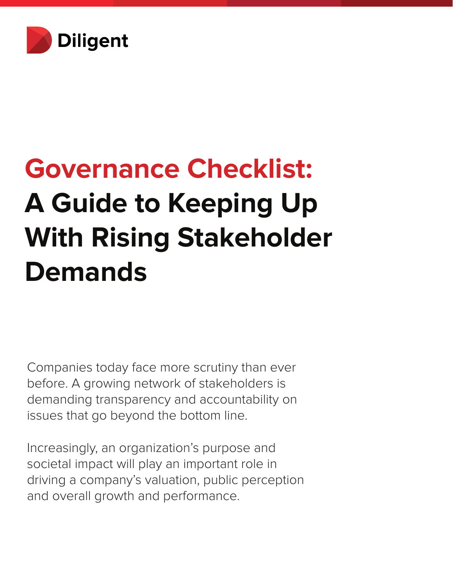

# **Governance Checklist: A Guide to Keeping Up With Rising Stakeholder Demands**

Companies today face more scrutiny than ever before. A growing network of stakeholders is demanding transparency and accountability on issues that go beyond the bottom line.

Increasingly, an organization's purpose and societal impact will play an important role in driving a company's valuation, public perception and overall growth and performance.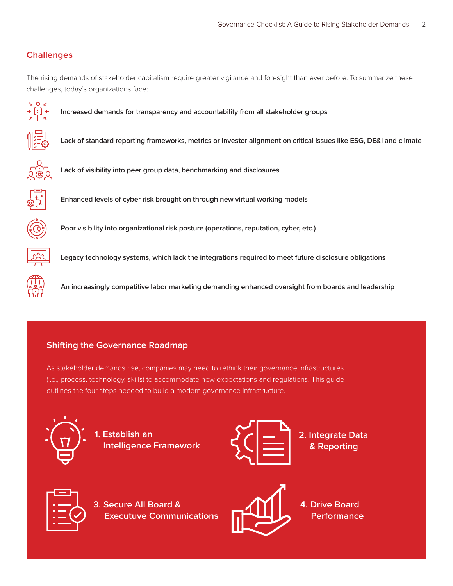## **Challenges**

The rising demands of stakeholder capitalism require greater vigilance and foresight than ever before. To summarize these challenges, today's organizations face:



**Increased demands for transparency and accountability from all stakeholder groups**



**Lack of standard reporting frameworks, metrics or investor alignment on critical issues like ESG, DE&I and climate**



**Lack of visibility into peer group data, benchmarking and disclosures**



**Enhanced levels of cyber risk brought on through new virtual working models**



**Poor visibility into organizational risk posture (operations, reputation, cyber, etc.)**



**Legacy technology systems, which lack the integrations required to meet future disclosure obligations**



**An increasingly competitive labor marketing demanding enhanced oversight from boards and leadership**

#### **Shifting the Governance Roadmap**

As stakeholder demands rise, companies may need to rethink their governance infrastructures (i.e., process, technology, skills) to accommodate new expectations and regulations. This guide outlines the four steps needed to build a modern governance infrastructure.



**1. Establish an Intelligence Framework**



**2. Integrate Data & Reporting**



**3. Secure All Board & Executuve Communications**



**4. Drive Board Performance**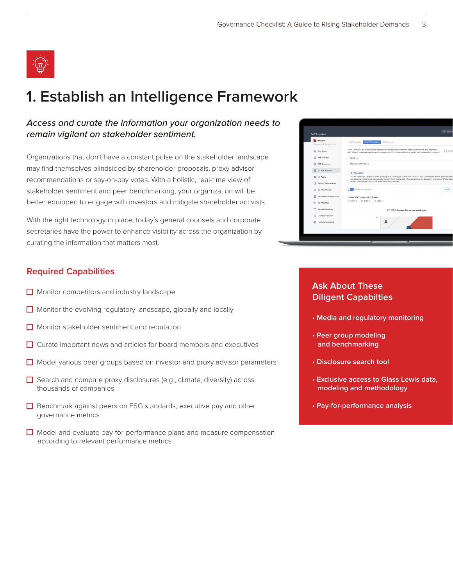

# **1. Establish an Intelligence Framework**

#### *Access and curate the information your organization needs to remain vigilant on stakeholder sentiment.*

Organizations that don't have a constant pulse on the stakeholder landscape may find themselves blindsided by shareholder proposals, proxy advisor recommendations or say-on-pay votes. With a holistic, real-time view of stakeholder sentiment and peer benchmarking, your organization will be better equipped to engage with investors and mitigate shareholder activists.

With the right technology in place, today's general counsels and corporate secretaries have the power to enhance visibility across the organization by curating the information that matters most.

#### **Required Capabilities**

- $\Box$  Monitor competitors and industry landscape
- $\Box$  Monitor the evolving regulatory landscape, globally and locally
- $\Box$  Monitor stakeholder sentiment and reputation
- $\Box$  Curate important news and articles for board members and executives
- $\Box$  Model various peer groups based on investor and proxy advisor parameters
- $\Box$  Search and compare proxy disclosures (e.g., climate, diversity) across thousands of companies
- $\Box$  Benchmark against peers on ESG standards, executive pay and other governance metrics
- $\Box$  Model and evaluate pay-for-performance plans and measure compensation according to relevant performance metrics

| Diligent<br>Compensation & Governance Intel | GL P4P Snapshot<br><b>ISS Simulator</b><br>P4P Snapshot                                                                                                                                                                                                                              |
|---------------------------------------------|--------------------------------------------------------------------------------------------------------------------------------------------------------------------------------------------------------------------------------------------------------------------------------------|
| Dashboard<br>⋒                              | Glass Lewis Inc., the world largest independent provider of governance and support service, has partnered<br>with Dilligent to deliver market-leading analysis for CEO compensation and pay for performance P4P reviewer.                                                            |
| P4P Modeler<br>ail                          | ACME Inc.                                                                                                                                                                                                                                                                            |
| P4P Snapshot<br>ß                           | Glass Lewis P4P Peers                                                                                                                                                                                                                                                                |
| GL P4P Snapshot                             | A-F Modeling                                                                                                                                                                                                                                                                         |
| 3C My Peers                                 | The A-F Modeling is a projection of the upcoming Glass Lewis Pay for Performance Analysis. It uses a combination of newly disclosed comp<br>and performance figures and user inputs for the most recent year (for both reference company and Glass Lewis constructed P4P peers) to p |
| (P) Equity Compensation                     | analysis. The original currency of the reference company will apply.                                                                                                                                                                                                                 |
| $\circ$<br>CG Risk Monitor                  | <b>Enable A-F modeling</b>                                                                                                                                                                                                                                                           |
| ⊛<br>Interlocks & Connections               | <b>Historical Compensation Grade</b>                                                                                                                                                                                                                                                 |
| My Watchlist                                | FY 2020: C<br>FY 2019: C<br>FY 2018: C                                                                                                                                                                                                                                               |
| Market Guidelines                           | FY 2020 Pay-for-Performance Grade                                                                                                                                                                                                                                                    |
| Disclosure Search<br>Ω                      | 100                                                                                                                                                                                                                                                                                  |
| đħ.<br>Portfolio Screening                  | А                                                                                                                                                                                                                                                                                    |

## **Ask About These Diligent Capabilties**

- **Media and regulatory monitoring**
- **Peer group modeling and benchmarking**
- **Disclosure search tool**
- **Exclusive access to Glass Lewis data, modeling and methodology**
- **Pay-for-performance analysis**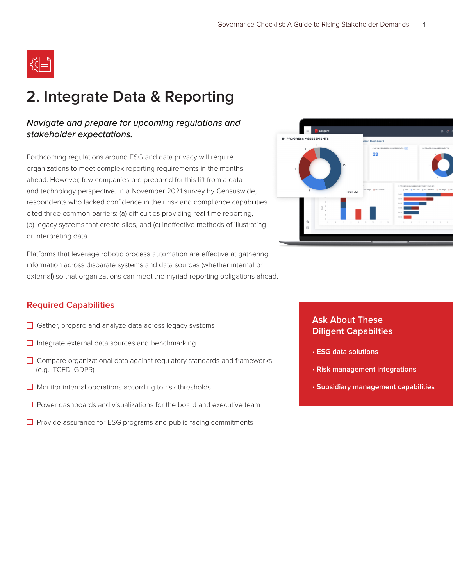

# **2. Integrate Data & Reporting**

#### *Navigate and prepare for upcoming regulations and stakeholder expectations.*

Forthcoming regulations around ESG and data privacy will require organizations to meet complex reporting requirements in the months ahead. However, few companies are prepared for this lift from a data and technology perspective. In a November 2021 survey by Censuswide, respondents who lacked confidence in their risk and compliance capabilities cited three common barriers: (a) difficulties providing real-time reporting, (b) legacy systems that create silos, and (c) ineffective methods of illustrating or interpreting data.

Platforms that leverage robotic process automation are effective at gathering information across disparate systems and data sources (whether internal or external) so that organizations can meet the myriad reporting obligations ahead.



#### **Required Capabilities**

- $\Box$  Gather, prepare and analyze data across legacy systems
- $\Box$  Integrate external data sources and benchmarking
- $\Box$  Compare organizational data against regulatory standards and frameworks (e.g., TCFD, GDPR)
- $\Box$  Monitor internal operations according to risk thresholds
- $\Box$  Power dashboards and visualizations for the board and executive team
- $\Box$  Provide assurance for ESG programs and public-facing commitments

## **Ask About These Diligent Capabilties**

- **ESG data solutions**
- **Risk management integrations**
- **Subsidiary management capabilities**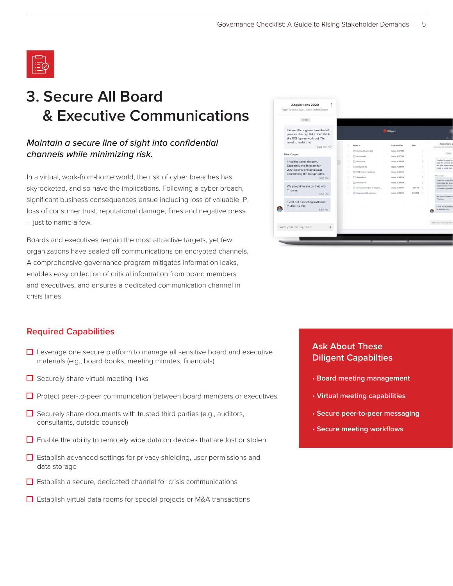

# **3. Secure All Board & Executive Communications**

## *Maintain a secure line of sight into confidential channels while minimizing risk.*

In a virtual, work-from-home world, the risk of cyber breaches has skyrocketed, and so have the implications. Following a cyber breach, significant business consequences ensue including loss of valuable IP, loss of consumer trust, reputational damage, fines and negative press – just to name a few.

Boards and executives remain the most attractive targets, yet few organizations have sealed off communications on encrypted channels. A comprehensive governance program mitigates information leaks, enables easy collection of critical information from board members and executives, and ensures a dedicated communication channel in crisis times.



#### **Required Capabilities**

- $\Box$  Leverage one secure platform to manage all sensitive board and executive materials (e.g., board books, meeting minutes, financials)
- $\Box$  Securely share virtual meeting links
- $\Box$  Protect peer-to-peer communication between board members or executives
- $\Box$  Securely share documents with trusted third parties (e.g., auditors, consultants, outside counsel)
- $\Box$  Enable the ability to remotely wipe data on devices that are lost or stolen
- $\Box$  Establish advanced settings for privacy shielding, user permissions and data storage
- $\Box$  Establish a secure, dedicated channel for crisis communications
- $\Box$  Establish virtual data rooms for special projects or M&A transactions

## **Ask About These Diligent Capabilties**

- **Board meeting management**
- **Virtual meeting capabilities**
- **Secure peer-to-peer messaging**
- **Secure meeting workflows**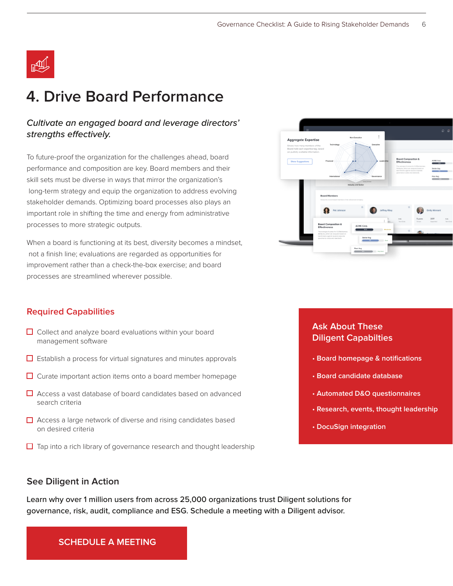

# **4. Drive Board Performance**

#### *Cultivate an engaged board and leverage directors' strengths effectively.*

To future-proof the organization for the challenges ahead, board performance and composition are key. Board members and their skill sets must be diverse in ways that mirror the organization's long-term strategy and equip the organization to address evolving stakeholder demands. Optimizing board processes also plays an important role in shifting the time and energy from administrative processes to more strategic outputs.

When a board is functioning at its best, diversity becomes a mindset, not a finish line; evaluations are regarded as opportunities for improvement rather than a check-the-box exercise; and board processes are streamlined wherever possible.



#### **Required Capabilities**

- $\Box$  Collect and analyze board evaluations within your board management software
- $\Box$  Establish a process for virtual signatures and minutes approvals
- $\Box$  Curate important action items onto a board member homepage
- $\Box$  Access a vast database of board candidates based on advanced search criteria
- $\Box$  Access a large network of diverse and rising candidates based on desired criteria
- $\Box$  Tap into a rich library of governance research and thought leadership

#### **Ask About These Diligent Capabilties**

- **Board homepage & notifications**
- **Board candidate database**
- **Automated D&O questionnaires**
- **Research, events, thought leadership**
- **DocuSign integration**

#### **See Diligent in Action**

Learn why over 1 million users from across 25,000 organizations trust Diligent solutions for governance, risk, audit, compliance and ESG. Schedule a meeting with a Diligent advisor.

**[SCHEDULE A MEETING](https://www.diligent.com/request-a-demo/?uRLBrand=Boards)**